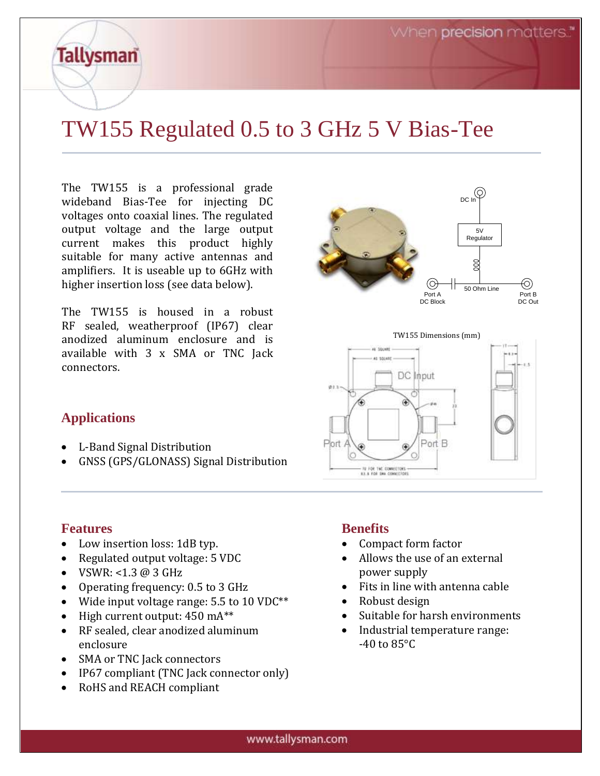# TW155 Regulated 0.5 to 3 GHz 5 V Bias-Tee

The TW155 is a professional grade wideband Bias-Tee for injecting DC voltages onto coaxial lines. The regulated output voltage and the large output current makes this product highly suitable for many active antennas and amplifiers. It is useable up to 6GHz with higher insertion loss (see data below).

The TW155 is housed in a robust RF sealed, weatherproof (IP67) clear anodized aluminum enclosure and is available with 3 x SMA or TNC Jack connectors.



TW155 Dimensions (mm)



# **Applications**

**Tallysman** 

- L-Band Signal Distribution
- GNSS (GPS/GLONASS) Signal Distribution

### **Features**

- Low insertion loss: 1dB typ.
- Regulated output voltage: 5 VDC
- VSWR: <1.3  $@3$  GHz
- Operating frequency: 0.5 to 3 GHz
- Wide input voltage range: 5.5 to 10 VDC\*\*
- $\bullet$  High current output: 450 mA\*\*
- RF sealed, clear anodized aluminum enclosure
- SMA or TNC Jack connectors
- IP67 compliant (TNC Jack connector only)
- RoHS and REACH compliant

### **Benefits**

- Compact form factor
- Allows the use of an external power supply
- Fits in line with antenna cable
- Robust design
- Suitable for harsh environments
- Industrial temperature range:  $-40$  to  $85^{\circ}$ C